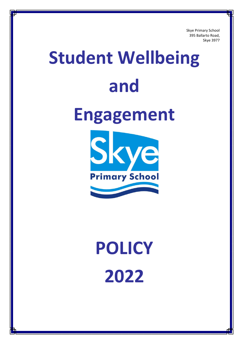Skye Primary School 395 Ballarto Road, Skye 3977

# **Student Wellbeing and Engagement** Skye **Primary School**

# **POLICY 2022**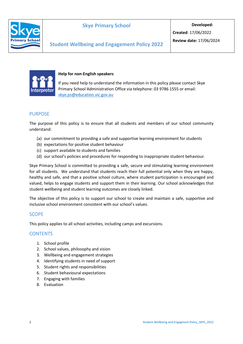

# **Skye Primary School**

**Developed:**

**Created**: 17/06/2022



#### **Help for non-English speakers**

If you need help to understand the information in this policy please contact Skye Primary School Administration Office via telephone: 03 9786 1555 or email: [skye.ps@education.vic.gov.au](mailto:skye.ps@education.vic.gov.au)

# PURPOSE

The purpose of this policy is to ensure that all students and members of our school community understand:

- (a) our commitment to providing a safe and supportive learning environment for students
- (b) expectations for positive student behaviour
- (c) support available to students and families
- (d) our school's policies and procedures for responding to inappropriate student behaviour.

Skye Primary School is committed to providing a safe, secure and stimulating learning environment for all students. We understand that students reach their full potential only when they are happy, healthy and safe, and that a positive school culture, where student participation is encouraged and valued, helps to engage students and support them in their learning. Our school acknowledges that student wellbeing and student learning outcomes are closely linked.

The objective of this policy is to support our school to create and maintain a safe, supportive and inclusive school environment consistent with our school's values.

# **SCOPE**

This policy applies to all school activities, including camps and excursions.

# **CONTENTS**

- 1. School profile
- 2. School values, philosophy and vision
- 3. Wellbeing and engagement strategies
- 4. Identifying students in need of support
- 5. Student rights and responsibilities
- 6. Student behavioural expectations
- 7. Engaging with families
- 8. Evaluation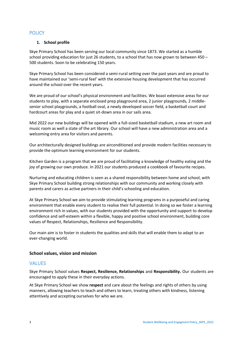# **POLICY**

#### **1. School profile**

Skye Primary School has been serving our local community since 1873. We started as a humble school providing education for just 26 students, to a school that has now grown to between 450 – 500 students. Soon to be celebrating 150 years.

Skye Primary School has been considered a semi-rural setting over the past years and are proud to have maintained our 'semi-rural feel' with the extensive housing development that has occurred around the school over the recent years.

We are proud of our school's physical environment and facilities. We boast extensive areas for our students to play, with a separate enclosed prep playground area, 2 junior playgrounds, 2 middlesenior school playgrounds, a football oval, a newly developed soccer field, a basketball court and hardcourt areas for play and a quiet sit-down area in our sails area.

Mid 2022 our new buildings will be opened with a full-sized basketball stadium, a new art room and music room as well a state of the art library. Our school will have a new administration area and a welcoming entry area for visitors and parents.

Our architecturally designed buildings are airconditioned and provide modern facilities necessary to provide the optimum learning environment for our students.

Kitchen Garden is a program that we are proud of facilitating a knowledge of healthy eating and the joy of growing our own produce. In 2021 our students produced a cookbook of favourite recipes.

Nurturing and educating children is seen as a shared responsibility between home and school, with Skye Primary School building strong relationships with our community and working closely with parents and carers as active partners in their child's schooling and education.

At Skye Primary School we aim to provide stimulating learning programs in a purposeful and caring environment that enable every student to realise their full potential. In doing so we foster a learning environment rich in values, with our students provided with the opportunity and support to develop confidence and self-esteem within a flexible, happy and positive school environment, building core values of Respect, Relationships, Resilience and Responsibility.

Our main aim is to foster in students the qualities and skills that will enable them to adapt to an ever-changing world.

#### **School values, vision and mission**

# VALUES

Skye Primary School values **Respect, Resilience, Relationships** and **Responsibility.** Our students are encouraged to apply these in their everyday actions.

At Skye Primary School we show **respect** and care about the feelings and rights of others by using manners, allowing teachers to teach and others to learn, treating others with kindness, listening attentively and accepting ourselves for who we are.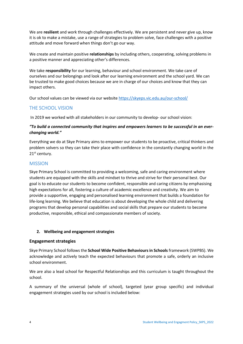We are **resilient** and work through challenges effectively. We are persistent and never give up, know it is ok to make a mistake, use a range of strategies to problem solve, face challenges with a positive attitude and move forward when things don't go our way.

We create and maintain positive **relationships** by including others, cooperating, solving problems in a positive manner and appreciating other's differences.

We take **responsibility** for our learning, behaviour and school environment. We take care of ourselves and our belongings and look after our learning environment and the school yard. We can be trusted to make good choices because we are in charge of our choices and know that they can impact others.

Our school values can be viewed via our website<https://skyeps.vic.edu.au/our-school/>

# THE SCHOOL VISION

In 2019 we worked with all stakeholders in our community to develop- our school vision:

#### *"To build a connected community that inspires and empowers learners to be successful in an everchanging world."*

Everything we do at Skye Primary aims to empower our students to be proactive, critical thinkers and problem solvers so they can take their place with confidence in the constantly changing world in the 21<sup>st</sup> century.

#### MISSION

Skye Primary School is committed to providing a welcoming, safe and caring environment where students are equipped with the skills and mindset to thrive and strive for their personal best. Our goal is to educate our students to become confident, responsible and caring citizens by emphasising high expectations for all, fostering a culture of academic excellence and creativity. We aim to provide a supportive, engaging and personalised learning environment that builds a foundation for life-long learning. We believe that education is about developing the whole child and delivering programs that develop personal capabilities and social skills that prepare our students to become productive, responsible, ethical and compassionate members of society.

#### **2. Wellbeing and engagement strategies**

#### **Engagement strategies**

Skye Primary School follows the **School Wide Positive Behaviours in Schools** framework (SWPBS). We acknowledge and actively teach the expected behaviours that promote a safe, orderly an inclusive school environment.

We are also a lead school for Respectful Relationships and this curriculum is taught throughout the school.

A summary of the universal (whole of school), targeted (year group specific) and individual engagement strategies used by our school is included below: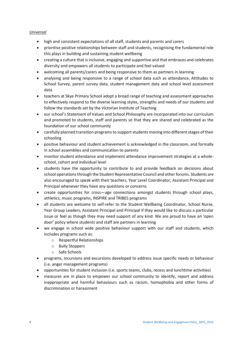#### *Universal*

- high and consistent expectations of all staff, students and parents and carers
- prioritise positive relationships between staff and students, recognising the fundamental role this plays in building and sustaining student wellbeing
- creating a culture that is inclusive, engaging and supportive and that embraces and celebrates diversity and empowers all students to participate and feel valued
- welcoming all parents/carers and being responsive to them as partners in learning
- analysing and being responsive to a range of school data such as attendance, Attitudes to School Survey, parent survey data, student management data and school level assessment data
- teachers at Skye Primary School adopt a broad range of teaching and assessment approaches to effectively respond to the diverse learning styles, strengths and needs of our students and follow the standards set by the Victorian Institute of Teaching
- our school's Statement of Values and School Philosophy are incorporated into our curriculum and promoted to students, staff and parents so that they are shared and celebrated as the foundation of our school community
- carefully planned transition programs to support students moving into different stages of their schooling
- positive behaviour and student achievement is acknowledged in the classroom, and formally in school assemblies and communication to parents
- monitor student attendance and implement attendance improvement strategies at a wholeschool, cohort and individual level
- students have the opportunity to contribute to and provide feedback on decisions about school operations through the Student Representative Council and other forums. Students are also encouraged to speak with their teachers, Year Level Coordinator, Assistant Principal and Principal whenever they have any questions or concerns
- create opportunities for cross—age connections amongst students through school plays, athletics, music programs, INSPIRE and TRIBES programs
- all students are welcome to self-refer to the Student Wellbeing Coordinator, School Nurse, Year Group Leaders, Assistant Principal and Principal if they would like to discuss a particular issue or feel as though they may need support of any kind. We are proud to have an 'open door' policy where students and staff are partners in learning
- we engage in school wide positive behaviour support with our staff and students, which includes programs such as:
	- o Respectful Relationships
	- o Bully Stoppers
	- o Safe Schools
- programs, incursions and excursions developed to address issue specific needs or behaviour (i.e. anger management programs)
- opportunities for student inclusion (i.e. sports teams, clubs, recess and lunchtime activities)
- measures are in place to empower our school community to identify, report and address inappropriate and harmful behaviours such as racism, homophobia and other forms of discrimination or harassment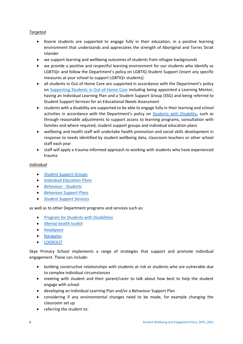#### *Targeted*

- Koorie students are supported to engage fully in their education, in a positive learning environment that understands and appreciates the strength of Aboriginal and Torres Strait Islander
- we support learning and wellbeing outcomes of students from refugee backgrounds
- we provide a positive and respectful learning environment for our students who identify as LGBTIQ+ and follow the Department's policy on [LGBTIQ Student Support](https://www2.education.vic.gov.au/pal/lgbtiq-student-support/policy) [insert any specific [measures at your school to support LGBTIQ+ students\]](https://www2.education.vic.gov.au/pal/lgbtiq-student-support/policy)
- all students in Out of Home Care are supported in accordance with the Department's policy on [Supporting Students in Out-of-Home Care](https://www2.education.vic.gov.au/pal/supporting-students-out-home-care/policy) including being appointed a Learning Mentor, having an Individual Learning Plan and a Student Support Group (SSG) and being referred to Student Support Services for an Educational Needs Assessment
- students with a disability are supported to be able to engage fully in their learning and school activities in accordance with the Department's policy on [Students with Disability,](https://www2.education.vic.gov.au/pal/students-disability/policy) such as through reasonable adjustments to support access to learning programs, consultation with families and where required, student support groups and individual education plans
- wellbeing and health staff will undertake health promotion and social skills development in response to needs identified by student wellbeing data, classroom teachers or other school staff each year
- staff will apply a trauma-informed approach to working with students who have experienced trauma

#### *Individual*

- *[Student Support Groups](https://www2.education.vic.gov.au/pal/student-support-groups/policy)*
- *[Individual Education Plans](https://www2.education.vic.gov.au/pal/individual-education-plans-ieps/policy)*
- *[Behaviour -](https://www2.education.vic.gov.au/pal/behaviour-students/policy) Students*
- *[Behaviour Support Plans](https://www2.education.vic.gov.au/pal/behaviour-students/guidance/6-behaviour-support-plans)*
- *[Student Support Services](https://www2.education.vic.gov.au/pal/student-support-services/policy)*

as well as to other Department programs and services such as:

- [Program for Students with Disabilities](https://www.education.vic.gov.au/school/teachers/learningneeds/Pages/psd.aspx)
- *[Mental health toolkit](https://www.education.vic.gov.au/school/teachers/health/mentalhealth/Pages/mentalhealthtoolkit.aspx)*
- *[headspace](https://www.education.vic.gov.au/school/teachers/health/mentalhealth/Pages/headspace-counselling-secondary.aspx)*
- [Navigator](https://www.education.vic.gov.au/school/teachers/behaviour/engagement/Pages/navigator.aspx)
- [LOOKOUT](https://www.education.vic.gov.au/about/programs/Pages/lookout.aspx)

Skye Primary School implements a range of strategies that support and promote individual engagement. These can include:

- building constructive relationships with students at risk or students who are vulnerable due to complex individual circumstances
- meeting with student and their parent/carer to talk about how best to help the student engage with school
- developing an Individual Learning Plan and/or a Behaviour Support Plan
- considering if any environmental changes need to be made, for example changing the classroom set up
- referring the student to: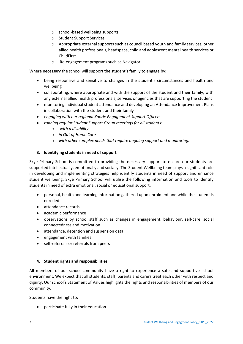- o school-based wellbeing supports
- o Student Support Services
- o Appropriate external supports such as council based youth and family services, other allied health professionals, headspace, child and adolescent mental health services or ChildFirst
- o Re-engagement programs such as Navigator

Where necessary the school will support the student's family to engage by:

- being responsive and sensitive to changes in the student's circumstances and health and wellbeing
- collaborating, where appropriate and with the support of the student and their family, with any external allied health professionals, services or agencies that are supporting the student
- monitoring individual student attendance and developing an Attendance Improvement Plans in collaboration with the student and their family
- *engaging with our regional Koorie Engagement Support Officers*
- *running regular Student Support Group meetings for all students:*
	- o *with a disability*
	- o *in Out of Home Care*
	- o *with other complex needs that require ongoing support and monitoring.*

#### **3. Identifying students in need of support**

Skye Primary School is committed to providing the necessary support to ensure our students are supported intellectually, emotionally and socially. The Student Wellbeing team plays a significant role in developing and implementing strategies help identify students in need of support and enhance student wellbeing. Skye Primary School will utilise the following information and tools to identify students in need of extra emotional, social or educational support:

- personal, health and learning information gathered upon enrolment and while the student is enrolled
- attendance records
- academic performance
- observations by school staff such as changes in engagement, behaviour, self-care, social connectedness and motivation
- attendance, detention and suspension data
- engagement with families
- self-referrals or referrals from peers

#### **4. Student rights and responsibilities**

All members of our school community have a right to experience a safe and supportive school environment. We expect that all students, staff, parents and carers treat each other with respect and dignity. Our school's Statement of Values highlights the rights and responsibilities of members of our community.

Students have the right to:

• participate fully in their education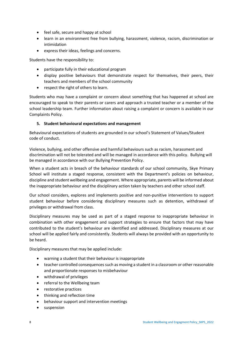- feel safe, secure and happy at school
- learn in an environment free from bullying, harassment, violence, racism, discrimination or intimidation
- express their ideas, feelings and concerns.

Students have the responsibility to:

- participate fully in their educational program
- display positive behaviours that demonstrate respect for themselves, their peers, their teachers and members of the school community
- respect the right of others to learn.

Students who may have a complaint or concern about something that has happened at school are encouraged to speak to their parents or carers and approach a trusted teacher or a member of the school leadership team. Further information about raising a complaint or concern is available in our Complaints Policy.

#### **5. Student behavioural expectations and management**

Behavioural expectations of students are grounded in our school's Statement of Values/Student code of conduct.

Violence, bullying, and other offensive and harmful behaviours such as racism, harassment and discrimination will not be tolerated and will be managed in accordance with this policy. Bullying will be managed in accordance with our Bullying Prevention Policy.

When a student acts in breach of the behaviour standards of our school community, Skye Primary School will institute a staged response, consistent with the Department's policies on behaviour, discipline and student wellbeing and engagement. Where appropriate, parents will be informed about the inappropriate behaviour and the disciplinary action taken by teachers and other school staff.

Our school considers, explores and implements positive and non-punitive interventions to support student behaviour before considering disciplinary measures such as detention, withdrawal of privileges or withdrawal from class.

Disciplinary measures may be used as part of a staged response to inappropriate behaviour in combination with other engagement and support strategies to ensure that factors that may have contributed to the student's behaviour are identified and addressed. Disciplinary measures at our school will be applied fairly and consistently. Students will always be provided with an opportunity to be heard.

Disciplinary measures that may be applied include:

- warning a student that their behaviour is inappropriate
- teacher controlled consequences such as moving a student in a classroom or other reasonable and proportionate responses to misbehaviour
- withdrawal of privileges
- referral to the Wellbeing team
- restorative practices
- thinking and reflection time
- behaviour support and intervention meetings
- suspension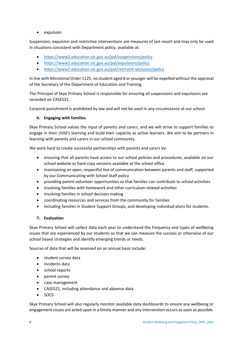• expulsion

Suspension, expulsion and restrictive interventions are measures of last resort and may only be used in situations consistent with Department policy, available at:

- <https://www2.education.vic.gov.au/pal/suspensions/policy>
- <https://www2.education.vic.gov.au/pal/expulsions/policy>
- <https://www2.education.vic.gov.au/pal/restraint-seclusion/policy>

In line with Ministerial Order 1125, no student aged 8 or younger will be expelled without the approval of the Secretary of the Department of Education and Training.

The Principal of Skye Primary School is responsible for ensuring all suspensions and expulsions are recorded on CASES21.

Corporal punishment is prohibited by law and will not be used in any circumstance at our school.

#### **6. Engaging with families**

Skye Primary School values the input of parents and carers, and we will strive to support families to engage in their child's learning and build their capacity as active learners. We aim to be partners in learning with parents and carers in our school community.

We work hard to create successful partnerships with parents and carers by:

- ensuring that all parents have access to our school policies and procedures, available on our school website or hard copy versions available at the school office
- maintaining an open, respectful line of communication between parents and staff, supported by our Communicating with School Staff policy
- providing parent volunteer opportunities so that families can contribute to school activities
- involving families with homework and other curriculum-related activities
- involving families in school decision making
- coordinating resources and services from the community for families
- including families in Student Support Groups, and developing individual plans for students.

#### **7. Evaluation**

Skye Primary School will collect data each year to understand the frequency and types of wellbeing issues that are experienced by our students so that we can measure the success or otherwise of our school based strategies and identify emerging trends or needs.

Sources of data that will be assessed on an annual basis include:

- student survey data
- incidents data
- school reports
- parent survey
- case management
- CASES21, including attendance and absence data
- SOCS

Skye Primary School will also regularly monitor available data dashboards to ensure any wellbeing or engagement issues are acted upon in a timely manner and any intervention occurs as soon as possible.